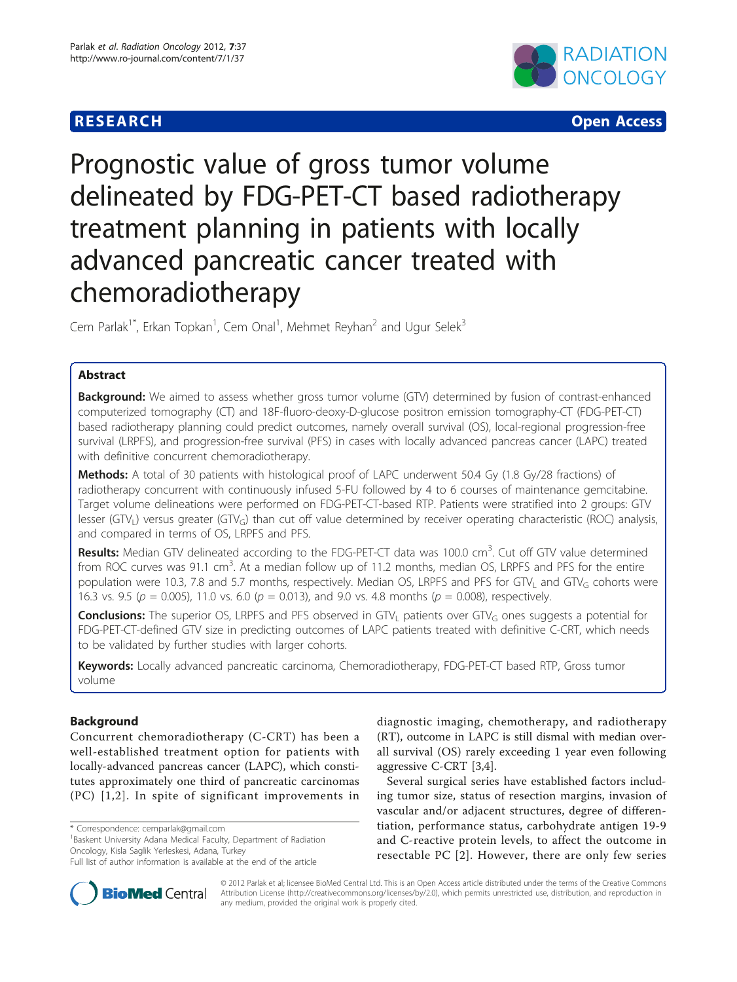# **RESEARCH CONSTRUCTION CONTROL**



# Prognostic value of gross tumor volume delineated by FDG-PET-CT based radiotherapy treatment planning in patients with locally advanced pancreatic cancer treated with chemoradiotherapy

Cem Parlak<sup>1\*</sup>, Erkan Topkan<sup>1</sup>, Cem Onal<sup>1</sup>, Mehmet Reyhan<sup>2</sup> and Ugur Selek<sup>3</sup>

# Abstract

Background: We aimed to assess whether gross tumor volume (GTV) determined by fusion of contrast-enhanced computerized tomography (CT) and 18F-fluoro-deoxy-D-glucose positron emission tomography-CT (FDG-PET-CT) based radiotherapy planning could predict outcomes, namely overall survival (OS), local-regional progression-free survival (LRPFS), and progression-free survival (PFS) in cases with locally advanced pancreas cancer (LAPC) treated with definitive concurrent chemoradiotherapy.

Methods: A total of 30 patients with histological proof of LAPC underwent 50.4 Gy (1.8 Gy/28 fractions) of radiotherapy concurrent with continuously infused 5-FU followed by 4 to 6 courses of maintenance gemcitabine. Target volume delineations were performed on FDG-PET-CT-based RTP. Patients were stratified into 2 groups: GTV lesser (GTV<sub>I</sub>) versus greater (GTV<sub>G</sub>) than cut off value determined by receiver operating characteristic (ROC) analysis, and compared in terms of OS, LRPFS and PFS.

Results: Median GTV delineated according to the FDG-PET-CT data was 100.0 cm<sup>3</sup>. Cut off GTV value determined from ROC curves was 91.1 cm<sup>3</sup>. At a median follow up of 11.2 months, median OS, LRPFS and PFS for the entire population were 10.3, 7.8 and 5.7 months, respectively. Median OS, LRPFS and PFS for GTV<sub>L</sub> and GTV<sub>G</sub> cohorts were 16.3 vs. 9.5 ( $p = 0.005$ ), 11.0 vs. 6.0 ( $p = 0.013$ ), and 9.0 vs. 4.8 months ( $p = 0.008$ ), respectively.

**Conclusions:** The superior OS, LRPFS and PFS observed in GTV<sub>L</sub> patients over GTV<sub>G</sub> ones suggests a potential for FDG-PET-CT-defined GTV size in predicting outcomes of LAPC patients treated with definitive C-CRT, which needs to be validated by further studies with larger cohorts.

Keywords: Locally advanced pancreatic carcinoma, Chemoradiotherapy, FDG-PET-CT based RTP, Gross tumor volume

# Background

Concurrent chemoradiotherapy (C-CRT) has been a well-established treatment option for patients with locally-advanced pancreas cancer (LAPC), which constitutes approximately one third of pancreatic carcinomas (PC) [[1](#page-6-0),[2](#page-6-0)]. In spite of significant improvements in

\* Correspondence: [cemparlak@gmail.com](mailto:cemparlak@gmail.com)

<sup>1</sup> Baskent University Adana Medical Faculty, Department of Radiation Oncology, Kisla Saglik Yerleskesi, Adana, Turkey



Several surgical series have established factors including tumor size, status of resection margins, invasion of vascular and/or adjacent structures, degree of differentiation, performance status, carbohydrate antigen 19-9 and C-reactive protein levels, to affect the outcome in resectable PC [[2\]](#page-6-0). However, there are only few series



© 2012 Parlak et al; licensee BioMed Central Ltd. This is an Open Access article distributed under the terms of the Creative Commons Attribution License [\(http://creativecommons.org/licenses/by/2.0](http://creativecommons.org/licenses/by/2.0)), which permits unrestricted use, distribution, and reproduction in any medium, provided the original work is properly cited.

Full list of author information is available at the end of the article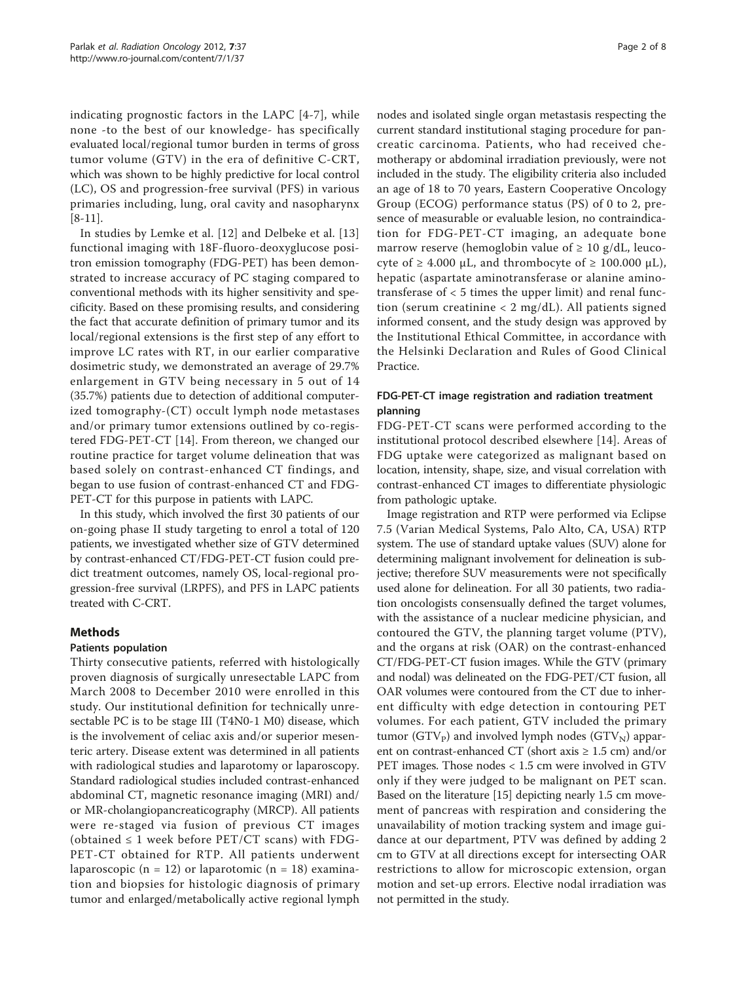indicating prognostic factors in the LAPC [[4-7\]](#page-6-0), while none -to the best of our knowledge- has specifically evaluated local/regional tumor burden in terms of gross tumor volume (GTV) in the era of definitive C-CRT, which was shown to be highly predictive for local control (LC), OS and progression-free survival (PFS) in various primaries including, lung, oral cavity and nasopharynx  $[8-11]$  $[8-11]$  $[8-11]$ .

In studies by Lemke et al. [[12](#page-6-0)] and Delbeke et al. [\[13](#page-6-0)] functional imaging with 18F-fluoro-deoxyglucose positron emission tomography (FDG-PET) has been demonstrated to increase accuracy of PC staging compared to conventional methods with its higher sensitivity and specificity. Based on these promising results, and considering the fact that accurate definition of primary tumor and its local/regional extensions is the first step of any effort to improve LC rates with RT, in our earlier comparative dosimetric study, we demonstrated an average of 29.7% enlargement in GTV being necessary in 5 out of 14 (35.7%) patients due to detection of additional computerized tomography-(CT) occult lymph node metastases and/or primary tumor extensions outlined by co-registered FDG-PET-CT [[14\]](#page-6-0). From thereon, we changed our routine practice for target volume delineation that was based solely on contrast-enhanced CT findings, and began to use fusion of contrast-enhanced CT and FDG-PET-CT for this purpose in patients with LAPC.

In this study, which involved the first 30 patients of our on-going phase II study targeting to enrol a total of 120 patients, we investigated whether size of GTV determined by contrast-enhanced CT/FDG-PET-CT fusion could predict treatment outcomes, namely OS, local-regional progression-free survival (LRPFS), and PFS in LAPC patients treated with C-CRT.

# Methods

### Patients population

Thirty consecutive patients, referred with histologically proven diagnosis of surgically unresectable LAPC from March 2008 to December 2010 were enrolled in this study. Our institutional definition for technically unresectable PC is to be stage III (T4N0-1 M0) disease, which is the involvement of celiac axis and/or superior mesenteric artery. Disease extent was determined in all patients with radiological studies and laparotomy or laparoscopy. Standard radiological studies included contrast-enhanced abdominal CT, magnetic resonance imaging (MRI) and/ or MR-cholangiopancreaticography (MRCP). All patients were re-staged via fusion of previous CT images (obtained  $\leq 1$  week before PET/CT scans) with FDG-PET-CT obtained for RTP. All patients underwent laparoscopic (n = 12) or laparotomic (n = 18) examination and biopsies for histologic diagnosis of primary tumor and enlarged/metabolically active regional lymph nodes and isolated single organ metastasis respecting the current standard institutional staging procedure for pancreatic carcinoma. Patients, who had received chemotherapy or abdominal irradiation previously, were not included in the study. The eligibility criteria also included an age of 18 to 70 years, Eastern Cooperative Oncology Group (ECOG) performance status (PS) of 0 to 2, presence of measurable or evaluable lesion, no contraindication for FDG-PET-CT imaging, an adequate bone marrow reserve (hemoglobin value of  $\geq 10$  g/dL, leucocyte of  $\geq 4.000$  μL, and thrombocyte of  $\geq 100.000$  μL), hepatic (aspartate aminotransferase or alanine aminotransferase of < 5 times the upper limit) and renal function (serum creatinine  $< 2$  mg/dL). All patients signed informed consent, and the study design was approved by the Institutional Ethical Committee, in accordance with the Helsinki Declaration and Rules of Good Clinical Practice.

# FDG-PET-CT image registration and radiation treatment planning

FDG-PET-CT scans were performed according to the institutional protocol described elsewhere [[14](#page-6-0)]. Areas of FDG uptake were categorized as malignant based on location, intensity, shape, size, and visual correlation with contrast-enhanced CT images to differentiate physiologic from pathologic uptake.

Image registration and RTP were performed via Eclipse 7.5 (Varian Medical Systems, Palo Alto, CA, USA) RTP system. The use of standard uptake values (SUV) alone for determining malignant involvement for delineation is subjective; therefore SUV measurements were not specifically used alone for delineation. For all 30 patients, two radiation oncologists consensually defined the target volumes, with the assistance of a nuclear medicine physician, and contoured the GTV, the planning target volume (PTV), and the organs at risk (OAR) on the contrast-enhanced CT/FDG-PET-CT fusion images. While the GTV (primary and nodal) was delineated on the FDG-PET/CT fusion, all OAR volumes were contoured from the CT due to inherent difficulty with edge detection in contouring PET volumes. For each patient, GTV included the primary tumor ( $GTV<sub>P</sub>$ ) and involved lymph nodes ( $GTV<sub>N</sub>$ ) apparent on contrast-enhanced CT (short axis  $\geq 1.5$  cm) and/or PET images. Those nodes < 1.5 cm were involved in GTV only if they were judged to be malignant on PET scan. Based on the literature [\[15](#page-6-0)] depicting nearly 1.5 cm movement of pancreas with respiration and considering the unavailability of motion tracking system and image guidance at our department, PTV was defined by adding 2 cm to GTV at all directions except for intersecting OAR restrictions to allow for microscopic extension, organ motion and set-up errors. Elective nodal irradiation was not permitted in the study.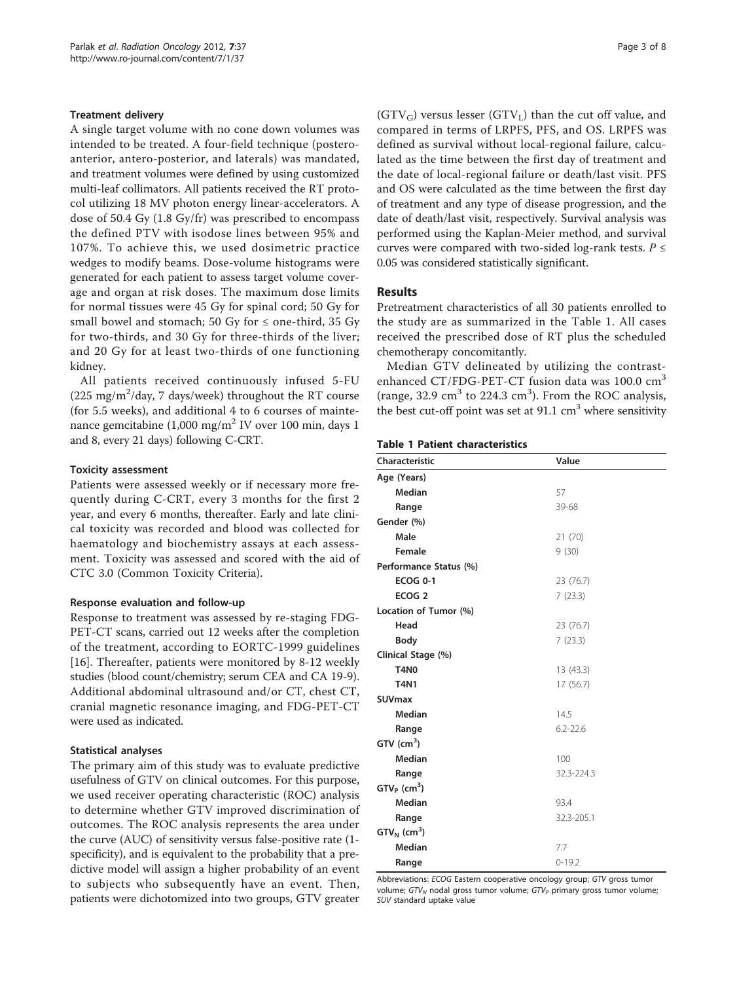### Treatment delivery

A single target volume with no cone down volumes was intended to be treated. A four-field technique (posteroanterior, antero-posterior, and laterals) was mandated, and treatment volumes were defined by using customized multi-leaf collimators. All patients received the RT protocol utilizing 18 MV photon energy linear-accelerators. A dose of 50.4 Gy (1.8 Gy/fr) was prescribed to encompass the defined PTV with isodose lines between 95% and 107%. To achieve this, we used dosimetric practice wedges to modify beams. Dose-volume histograms were generated for each patient to assess target volume coverage and organ at risk doses. The maximum dose limits for normal tissues were 45 Gy for spinal cord; 50 Gy for small bowel and stomach; 50 Gy for  $\leq$  one-third, 35 Gy for two-thirds, and 30 Gy for three-thirds of the liver; and 20 Gy for at least two-thirds of one functioning kidney.

All patients received continuously infused 5-FU (225 mg/m<sup>2</sup>/day, 7 days/week) throughout the RT course (for 5.5 weeks), and additional 4 to 6 courses of maintenance gemcitabine  $(1,000 \text{ mg/m}^2 \text{ IV}$  over 100 min, days 1 and 8, every 21 days) following C-CRT.

#### Toxicity assessment

Patients were assessed weekly or if necessary more frequently during C-CRT, every 3 months for the first 2 year, and every 6 months, thereafter. Early and late clinical toxicity was recorded and blood was collected for haematology and biochemistry assays at each assessment. Toxicity was assessed and scored with the aid of CTC 3.0 (Common Toxicity Criteria).

#### Response evaluation and follow-up

Response to treatment was assessed by re-staging FDG-PET-CT scans, carried out 12 weeks after the completion of the treatment, according to EORTC-1999 guidelines [[16\]](#page-6-0). Thereafter, patients were monitored by 8-12 weekly studies (blood count/chemistry; serum CEA and CA 19-9). Additional abdominal ultrasound and/or CT, chest CT, cranial magnetic resonance imaging, and FDG-PET-CT were used as indicated.

#### Statistical analyses

The primary aim of this study was to evaluate predictive usefulness of GTV on clinical outcomes. For this purpose, we used receiver operating characteristic (ROC) analysis to determine whether GTV improved discrimination of outcomes. The ROC analysis represents the area under the curve (AUC) of sensitivity versus false-positive rate (1 specificity), and is equivalent to the probability that a predictive model will assign a higher probability of an event to subjects who subsequently have an event. Then, patients were dichotomized into two groups, GTV greater  $(GTV_G)$  versus lesser  $(GTV_L)$  than the cut off value, and compared in terms of LRPFS, PFS, and OS. LRPFS was defined as survival without local-regional failure, calculated as the time between the first day of treatment and the date of local-regional failure or death/last visit. PFS and OS were calculated as the time between the first day of treatment and any type of disease progression, and the date of death/last visit, respectively. Survival analysis was performed using the Kaplan-Meier method, and survival curves were compared with two-sided log-rank tests.  $P \leq$ 0.05 was considered statistically significant.

# Results

Pretreatment characteristics of all 30 patients enrolled to the study are as summarized in the Table 1. All cases received the prescribed dose of RT plus the scheduled chemotherapy concomitantly.

Median GTV delineated by utilizing the contrastenhanced CT/FDG-PET-CT fusion data was 100.0 cm<sup>3</sup> (range,  $32.9 \text{ cm}^3$  to  $224.3 \text{ cm}^3$ ). From the ROC analysis, the best cut-off point was set at  $91.1 \text{ cm}^3$  where sensitivity

#### Table 1 Patient characteristics

| Characteristic             | Value        |
|----------------------------|--------------|
| Age (Years)                |              |
| Median                     | 57           |
| Range                      | 39-68        |
| Gender (%)                 |              |
| Male                       | 21 (70)      |
| Female                     | 9(30)        |
| Performance Status (%)     |              |
| <b>ECOG 0-1</b>            | 23 (76.7)    |
| ECOG <sub>2</sub>          | 7(23.3)      |
| Location of Tumor (%)      |              |
| Head                       | 23 (76.7)    |
| Body                       | 7(23.3)      |
| Clinical Stage (%)         |              |
| <b>T4N0</b>                | 13 (43.3)    |
| <b>T4N1</b>                | 17 (56.7)    |
| <b>SUVmax</b>              |              |
| Median                     | 14.5         |
| Range                      | $6.2 - 22.6$ |
| $GTV$ (cm <sup>3</sup> )   |              |
| Median                     | 100          |
| Range                      | 32.3-224.3   |
| $GTVP$ (cm <sup>3</sup> )  |              |
| Median                     | 93.4         |
| Range                      | 32.3-205.1   |
| $GTV_N$ (cm <sup>3</sup> ) |              |
| Median                     | 7.7          |
| Range                      | $0 - 19.2$   |

Abbreviations: ECOG Eastern cooperative oncology group; GTV gross tumor volume;  $GTV_N$  nodal gross tumor volume;  $GTV_P$  primary gross tumor volume; SUV standard uptake value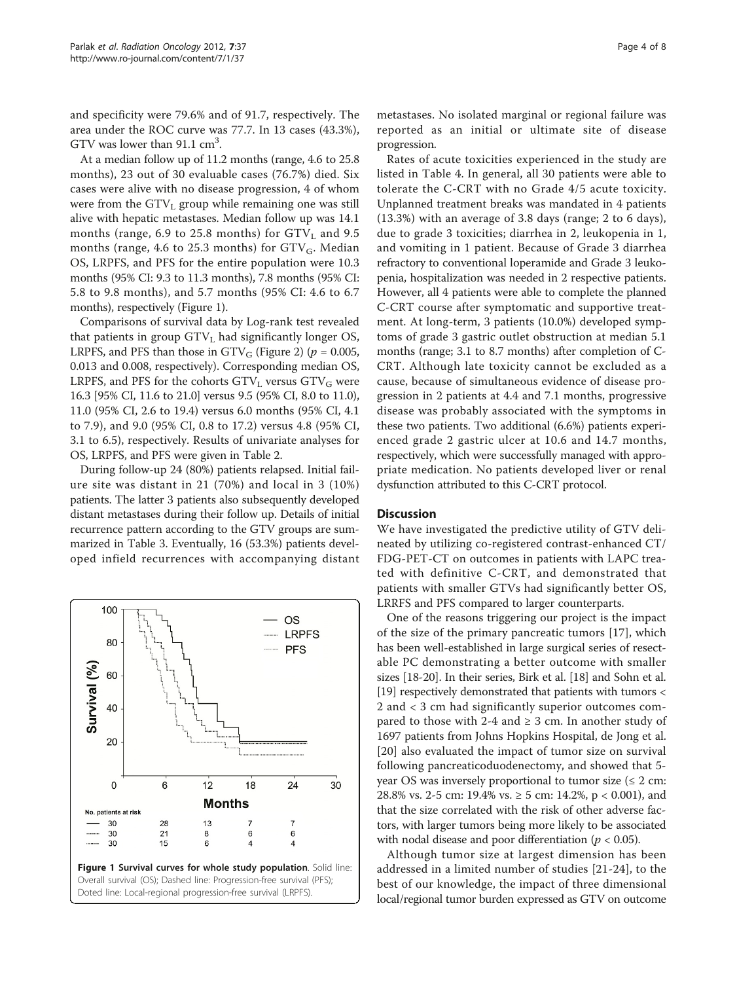and specificity were 79.6% and of 91.7, respectively. The area under the ROC curve was 77.7. In 13 cases (43.3%), GTV was lower than  $91.1 \text{ cm}^3$ .

At a median follow up of 11.2 months (range, 4.6 to 25.8 months), 23 out of 30 evaluable cases (76.7%) died. Six cases were alive with no disease progression, 4 of whom were from the  $GTV<sub>L</sub>$  group while remaining one was still alive with hepatic metastases. Median follow up was 14.1 months (range, 6.9 to 25.8 months) for  $\text{GTV}_\text{L}$  and 9.5 months (range, 4.6 to 25.3 months) for  $GTV_G$ . Median OS, LRPFS, and PFS for the entire population were 10.3 months (95% CI: 9.3 to 11.3 months), 7.8 months (95% CI: 5.8 to 9.8 months), and 5.7 months (95% CI: 4.6 to 6.7 months), respectively (Figure 1).

Comparisons of survival data by Log-rank test revealed that patients in group  $GTV<sub>L</sub>$  had significantly longer OS, LRPFS, and PFS than those in  $GTV$ <sup>G</sup> (Figure [2](#page-4-0)) ( $p = 0.005$ , 0.013 and 0.008, respectively). Corresponding median OS, LRPFS, and PFS for the cohorts  $GTV<sub>L</sub>$  versus  $GTV<sub>G</sub>$  were 16.3 [95% CI, 11.6 to 21.0] versus 9.5 (95% CI, 8.0 to 11.0), 11.0 (95% CI, 2.6 to 19.4) versus 6.0 months (95% CI, 4.1 to 7.9), and 9.0 (95% CI, 0.8 to 17.2) versus 4.8 (95% CI, 3.1 to 6.5), respectively. Results of univariate analyses for OS, LRPFS, and PFS were given in Table [2](#page-4-0).

During follow-up 24 (80%) patients relapsed. Initial failure site was distant in 21 (70%) and local in 3 (10%) patients. The latter 3 patients also subsequently developed distant metastases during their follow up. Details of initial recurrence pattern according to the GTV groups are summarized in Table [3.](#page-5-0) Eventually, 16 (53.3%) patients developed infield recurrences with accompanying distant



metastases. No isolated marginal or regional failure was reported as an initial or ultimate site of disease progression.

Rates of acute toxicities experienced in the study are listed in Table [4.](#page-5-0) In general, all 30 patients were able to tolerate the C-CRT with no Grade 4/5 acute toxicity. Unplanned treatment breaks was mandated in 4 patients (13.3%) with an average of 3.8 days (range; 2 to 6 days), due to grade 3 toxicities; diarrhea in 2, leukopenia in 1, and vomiting in 1 patient. Because of Grade 3 diarrhea refractory to conventional loperamide and Grade 3 leukopenia, hospitalization was needed in 2 respective patients. However, all 4 patients were able to complete the planned C-CRT course after symptomatic and supportive treatment. At long-term, 3 patients (10.0%) developed symptoms of grade 3 gastric outlet obstruction at median 5.1 months (range; 3.1 to 8.7 months) after completion of C-CRT. Although late toxicity cannot be excluded as a cause, because of simultaneous evidence of disease progression in 2 patients at 4.4 and 7.1 months, progressive disease was probably associated with the symptoms in these two patients. Two additional (6.6%) patients experienced grade 2 gastric ulcer at 10.6 and 14.7 months, respectively, which were successfully managed with appropriate medication. No patients developed liver or renal dysfunction attributed to this C-CRT protocol.

### **Discussion**

We have investigated the predictive utility of GTV delineated by utilizing co-registered contrast-enhanced CT/ FDG-PET-CT on outcomes in patients with LAPC treated with definitive C-CRT, and demonstrated that patients with smaller GTVs had significantly better OS, LRRFS and PFS compared to larger counterparts.

One of the reasons triggering our project is the impact of the size of the primary pancreatic tumors [\[17](#page-6-0)], which has been well-established in large surgical series of resectable PC demonstrating a better outcome with smaller sizes [[18-20\]](#page-6-0). In their series, Birk et al. [\[18\]](#page-6-0) and Sohn et al. [[19](#page-6-0)] respectively demonstrated that patients with tumors < 2 and < 3 cm had significantly superior outcomes compared to those with 2-4 and  $\geq$  3 cm. In another study of 1697 patients from Johns Hopkins Hospital, de Jong et al. [[20](#page-6-0)] also evaluated the impact of tumor size on survival following pancreaticoduodenectomy, and showed that 5 year OS was inversely proportional to tumor size  $(\leq 2 \text{ cm})$ : 28.8% vs. 2-5 cm: 19.4% vs.  $\geq$  5 cm: 14.2%, p < 0.001), and that the size correlated with the risk of other adverse factors, with larger tumors being more likely to be associated with nodal disease and poor differentiation ( $p < 0.05$ ).

Although tumor size at largest dimension has been addressed in a limited number of studies [[21-24\]](#page-6-0), to the best of our knowledge, the impact of three dimensional local/regional tumor burden expressed as GTV on outcome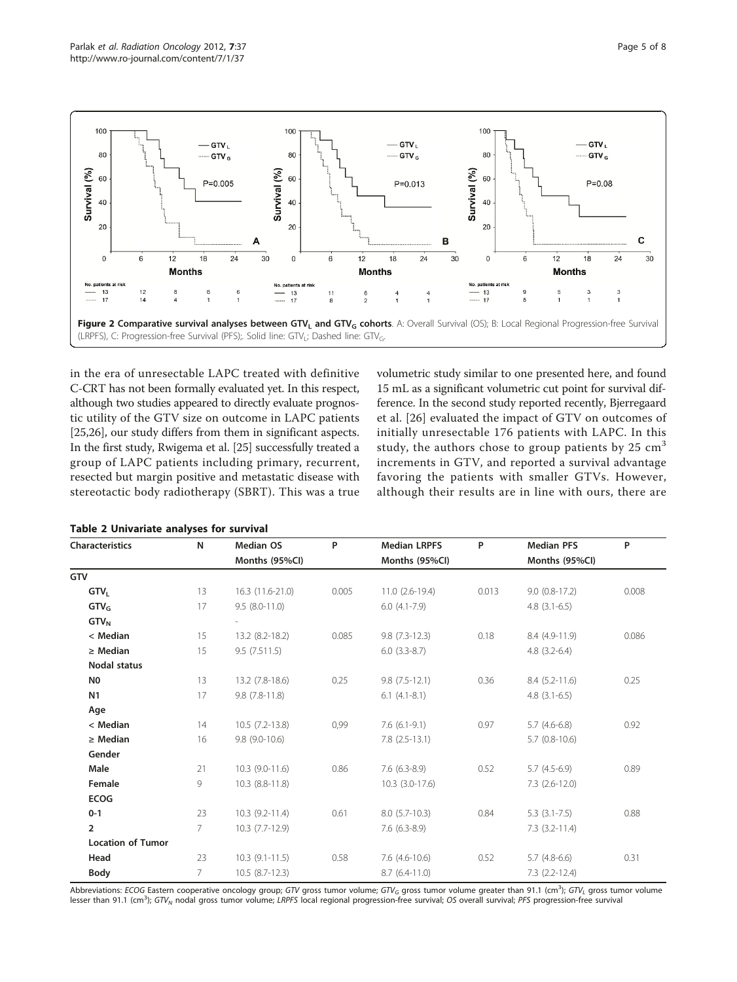<span id="page-4-0"></span>

in the era of unresectable LAPC treated with definitive C-CRT has not been formally evaluated yet. In this respect, although two studies appeared to directly evaluate prognostic utility of the GTV size on outcome in LAPC patients [[25,26](#page-6-0)], our study differs from them in significant aspects. In the first study, Rwigema et al. [\[25\]](#page-6-0) successfully treated a group of LAPC patients including primary, recurrent, resected but margin positive and metastatic disease with stereotactic body radiotherapy (SBRT). This was a true

Table 2 Univariate analyses for survival

volumetric study similar to one presented here, and found 15 mL as a significant volumetric cut point for survival difference. In the second study reported recently, Bjerregaard et al. [\[26](#page-6-0)] evaluated the impact of GTV on outcomes of initially unresectable 176 patients with LAPC. In this study, the authors chose to group patients by  $25 \text{ cm}^3$ increments in GTV, and reported a survival advantage favoring the patients with smaller GTVs. However, although their results are in line with ours, there are

| Characteristics          | N           | Median OS        | P     | <b>Median LRPFS</b> | P     | <b>Median PFS</b>    | P     |
|--------------------------|-------------|------------------|-------|---------------------|-------|----------------------|-------|
|                          |             | Months (95%CI)   |       | Months (95%CI)      |       | Months (95%CI)       |       |
| GTV                      |             |                  |       |                     |       |                      |       |
| GTV <sub>L</sub>         | 13          | 16.3 (11.6-21.0) | 0.005 | $11.0(2.6-19.4)$    | 0.013 | $9.0(0.8-17.2)$      | 0.008 |
| GTV <sub>G</sub>         | 17          | $9.5(8.0-11.0)$  |       | $6.0(4.1-7.9)$      |       | $4.8(3.1-6.5)$       |       |
| $GTV_N$                  |             |                  |       |                     |       |                      |       |
| < Median                 | 15          | 13.2 (8.2-18.2)  | 0.085 | $9.8(7.3-12.3)$     | 0.18  | 8.4 (4.9-11.9)       | 0.086 |
| $\geq$ Median            | 15          | 9.5(7.511.5)     |       | $6.0(3.3-8.7)$      |       | $4.8(3.2-6.4)$       |       |
| <b>Nodal status</b>      |             |                  |       |                     |       |                      |       |
| N0                       | 13          | 13.2 (7.8-18.6)  | 0.25  | $9.8(7.5-12.1)$     | 0.36  | $8.4(5.2-11.6)$      | 0.25  |
| N1                       | 17          | $9.8(7.8-11.8)$  |       | $6.1(4.1-8.1)$      |       | $4.8(3.1-6.5)$       |       |
| Age                      |             |                  |       |                     |       |                      |       |
| < Median                 | 14          | $10.5(7.2-13.8)$ | 0,99  | $7.6(6.1-9.1)$      | 0.97  | $5.7(4.6-6.8)$       | 0.92  |
| $\geq$ Median            | 16          | $9.8(9.0-10.6)$  |       | $7.8$ $(2.5-13.1)$  |       | $5.7$ (0.8-10.6)     |       |
| Gender                   |             |                  |       |                     |       |                      |       |
| Male                     | 21          | $10.3(9.0-11.6)$ | 0.86  | $7.6(6.3-8.9)$      | 0.52  | $5.7(4.5-6.9)$       | 0.89  |
| Female                   | 9           | 10.3 (8.8-11.8)  |       | $10.3(3.0-17.6)$    |       | $7.3$ $(2.6 - 12.0)$ |       |
| <b>ECOG</b>              |             |                  |       |                     |       |                      |       |
| $0 - 1$                  | 23          | $10.3(9.2-11.4)$ | 0.61  | $8.0(5.7-10.3)$     | 0.84  | $5.3(3.1-7.5)$       | 0.88  |
| $\overline{2}$           | $7^{\circ}$ | $10.3(7.7-12.9)$ |       | $7.6(6.3-8.9)$      |       | $7.3$ $(3.2 - 11.4)$ |       |
| <b>Location of Tumor</b> |             |                  |       |                     |       |                      |       |
| Head                     | 23          | $10.3(9.1-11.5)$ | 0.58  | $7.6$ $(4.6-10.6)$  | 0.52  | $5.7(4.8-6.6)$       | 0.31  |
| Body                     | 7           | $10.5(8.7-12.3)$ |       | $8.7(6.4-11.0)$     |       | $7.3$ $(2.2 - 12.4)$ |       |

Abbreviations: ECOG Eastern cooperative oncology group; GTV gross tumor volume; GTV<sub>G</sub> gross tumor volume greater than 91.1 (cm<sup>3</sup>); GTV<sub>L</sub> gross tumor volume lesser than 91.1 (cm<sup>3</sup>); GTV<sub>N</sub> nodal gross tumor volume; LRPFS local regional progression-free survival; OS overall survival; PFS progression-free survival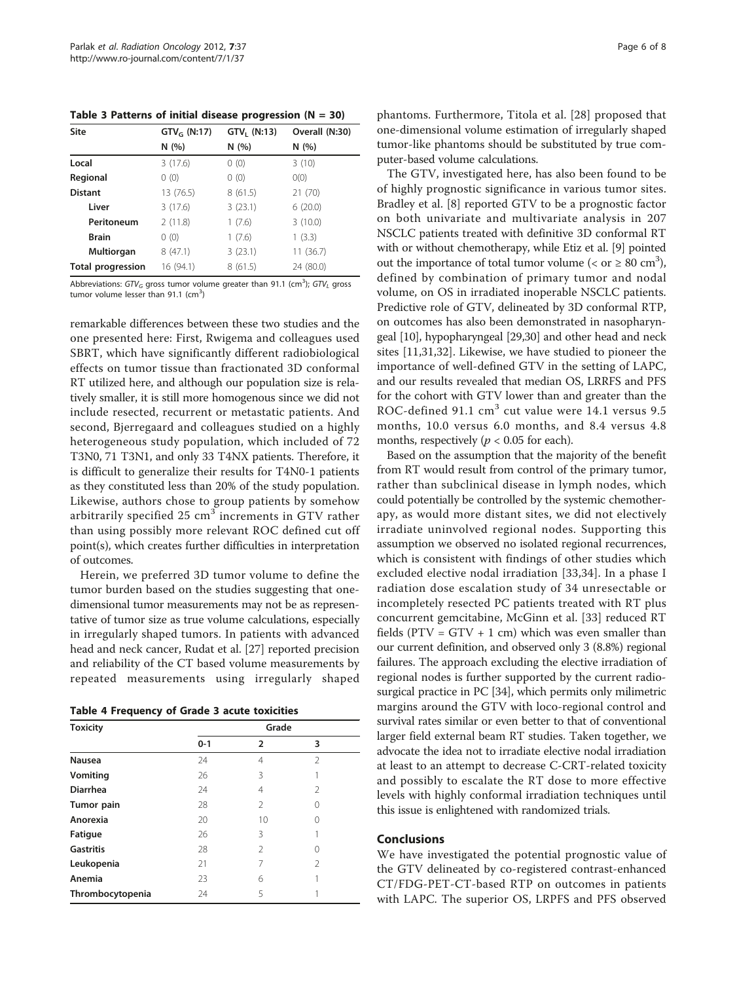<span id="page-5-0"></span>Table 3 Patterns of initial disease progression  $(N = 30)$ 

| Site                     | $GTV_G (N:17)$ | $GTV1$ (N:13) | Overall (N:30) |
|--------------------------|----------------|---------------|----------------|
|                          | N(%)           | N(%)          | N(%)           |
| Local                    | 3(17.6)        | 0(0)          | 3(10)          |
| Regional                 | 0(0)           | 0(0)          | O(0)           |
| <b>Distant</b>           | 13 (76.5)      | 8(61.5)       | 21(70)         |
| Liver                    | 3(17.6)        | 3(23.1)       | 6(20.0)        |
| Peritoneum               | 2(11.8)        | 1(7.6)        | 3(10.0)        |
| <b>Brain</b>             | 0(0)           | 1(7.6)        | 1(3.3)         |
| <b>Multiorgan</b>        | 8(47.1)        | 3(23.1)       | 11(36.7)       |
| <b>Total progression</b> | 16 (94.1)      | 8(61.5)       | 24 (80.0)      |

Abbreviations: GTV<sub>G</sub> gross tumor volume greater than 91.1 (cm<sup>3</sup>); GTV<sub>L</sub> gross tumor volume lesser than 91.1 (cm<sup>3</sup>)

remarkable differences between these two studies and the one presented here: First, Rwigema and colleagues used SBRT, which have significantly different radiobiological effects on tumor tissue than fractionated 3D conformal RT utilized here, and although our population size is relatively smaller, it is still more homogenous since we did not include resected, recurrent or metastatic patients. And second, Bjerregaard and colleagues studied on a highly heterogeneous study population, which included of 72 T3N0, 71 T3N1, and only 33 T4NX patients. Therefore, it is difficult to generalize their results for T4N0-1 patients as they constituted less than 20% of the study population. Likewise, authors chose to group patients by somehow arbitrarily specified  $25 \text{ cm}^3$  increments in GTV rather than using possibly more relevant ROC defined cut off point(s), which creates further difficulties in interpretation of outcomes.

Herein, we preferred 3D tumor volume to define the tumor burden based on the studies suggesting that onedimensional tumor measurements may not be as representative of tumor size as true volume calculations, especially in irregularly shaped tumors. In patients with advanced head and neck cancer, Rudat et al. [\[27\]](#page-6-0) reported precision and reliability of the CT based volume measurements by repeated measurements using irregularly shaped

Table 4 Frequency of Grade 3 acute toxicities

| <b>Toxicity</b>  | Grade   |                |                |  |
|------------------|---------|----------------|----------------|--|
|                  | $0 - 1$ | 2              | 3              |  |
| Nausea           | 24      | 4              | $\mathfrak{D}$ |  |
| Vomiting         | 26      | 3              |                |  |
| <b>Diarrhea</b>  | 24      | 4              | 2              |  |
| Tumor pain       | 28      | $\mathfrak{D}$ |                |  |
| Anorexia         | 20      | 10             |                |  |
| Fatigue          | 26      | 3              |                |  |
| <b>Gastritis</b> | 28      | $\mathfrak{D}$ |                |  |
| Leukopenia       | 21      | 7              | 2              |  |
| Anemia           | 23      | 6              |                |  |
| Thrombocytopenia | 24      | 5              |                |  |

phantoms. Furthermore, Titola et al. [\[28](#page-7-0)] proposed that one-dimensional volume estimation of irregularly shaped tumor-like phantoms should be substituted by true computer-based volume calculations.

The GTV, investigated here, has also been found to be of highly prognostic significance in various tumor sites. Bradley et al. [\[8](#page-6-0)] reported GTV to be a prognostic factor on both univariate and multivariate analysis in 207 NSCLC patients treated with definitive 3D conformal RT with or without chemotherapy, while Etiz et al. [[9](#page-6-0)] pointed out the importance of total tumor volume (< or  $\geq 80$  cm<sup>3</sup>), defined by combination of primary tumor and nodal volume, on OS in irradiated inoperable NSCLC patients. Predictive role of GTV, delineated by 3D conformal RTP, on outcomes has also been demonstrated in nasopharyngeal [\[10\]](#page-6-0), hypopharyngeal [\[29,30\]](#page-7-0) and other head and neck sites [[11,](#page-6-0)[31,32\]](#page-7-0). Likewise, we have studied to pioneer the importance of well-defined GTV in the setting of LAPC, and our results revealed that median OS, LRRFS and PFS for the cohort with GTV lower than and greater than the ROC-defined 91.1  $\text{cm}^3$  cut value were 14.1 versus 9.5 months, 10.0 versus 6.0 months, and 8.4 versus 4.8 months, respectively ( $p < 0.05$  for each).

Based on the assumption that the majority of the benefit from RT would result from control of the primary tumor, rather than subclinical disease in lymph nodes, which could potentially be controlled by the systemic chemotherapy, as would more distant sites, we did not electively irradiate uninvolved regional nodes. Supporting this assumption we observed no isolated regional recurrences, which is consistent with findings of other studies which excluded elective nodal irradiation [\[33,34](#page-7-0)]. In a phase I radiation dose escalation study of 34 unresectable or incompletely resected PC patients treated with RT plus concurrent gemcitabine, McGinn et al. [\[33](#page-7-0)] reduced RT fields ( $PTV = GTV + 1$  cm) which was even smaller than our current definition, and observed only 3 (8.8%) regional failures. The approach excluding the elective irradiation of regional nodes is further supported by the current radiosurgical practice in PC [\[34\]](#page-7-0), which permits only milimetric margins around the GTV with loco-regional control and survival rates similar or even better to that of conventional larger field external beam RT studies. Taken together, we advocate the idea not to irradiate elective nodal irradiation at least to an attempt to decrease C-CRT-related toxicity and possibly to escalate the RT dose to more effective levels with highly conformal irradiation techniques until this issue is enlightened with randomized trials.

## Conclusions

We have investigated the potential prognostic value of the GTV delineated by co-registered contrast-enhanced CT/FDG-PET-CT-based RTP on outcomes in patients with LAPC. The superior OS, LRPFS and PFS observed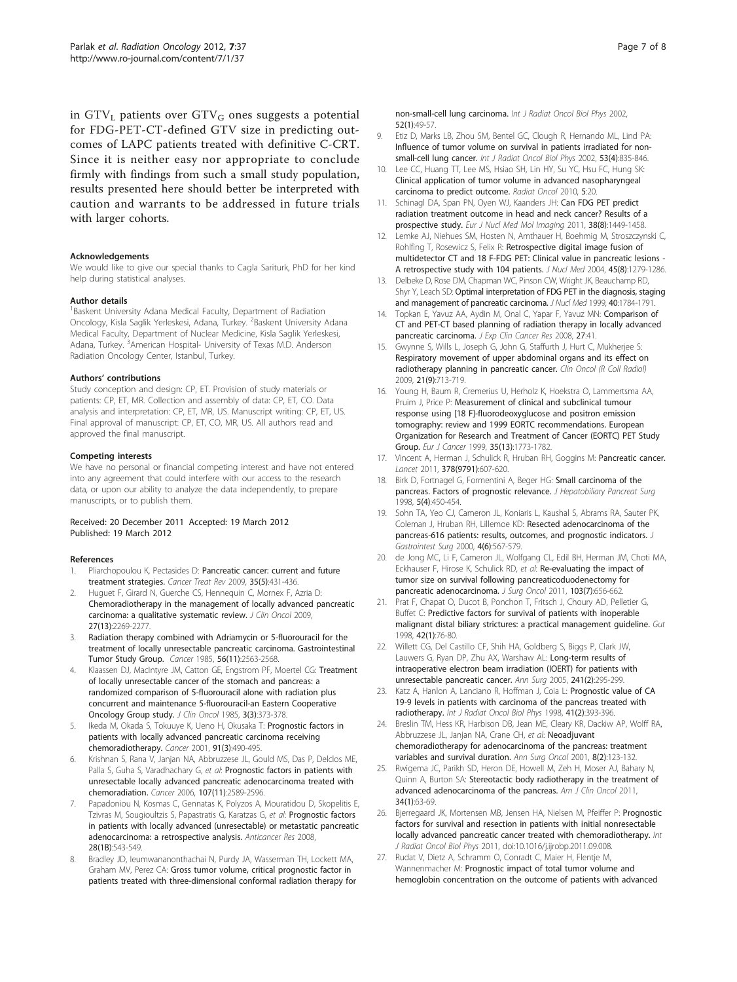<span id="page-6-0"></span>in GTV<sub>L</sub> patients over GTV<sub>G</sub> ones suggests a potential for FDG-PET-CT-defined GTV size in predicting outcomes of LAPC patients treated with definitive C-CRT. Since it is neither easy nor appropriate to conclude firmly with findings from such a small study population, results presented here should better be interpreted with caution and warrants to be addressed in future trials with larger cohorts.

#### Acknowledgements

We would like to give our special thanks to Cagla Sariturk, PhD for her kind help during statistical analyses.

#### Author details

<sup>1</sup> Baskent University Adana Medical Faculty, Department of Radiation Oncology, Kisla Saglik Yerleskesi, Adana, Turkey. <sup>2</sup>Baskent University Adana Medical Faculty, Department of Nuclear Medicine, Kisla Saglik Yerleskesi, Adana, Turkey. <sup>3</sup>American Hospital- University of Texas M.D. Anderson Radiation Oncology Center, Istanbul, Turkey.

#### Authors' contributions

Study conception and design: CP, ET. Provision of study materials or patients: CP, ET, MR. Collection and assembly of data: CP, ET, CO. Data analysis and interpretation: CP, ET, MR, US. Manuscript writing: CP, ET, US. Final approval of manuscript: CP, ET, CO, MR, US. All authors read and approved the final manuscript.

#### Competing interests

We have no personal or financial competing interest and have not entered into any agreement that could interfere with our access to the research data, or upon our ability to analyze the data independently, to prepare manuscripts, or to publish them.

#### Received: 20 December 2011 Accepted: 19 March 2012 Published: 19 March 2012

#### References

- 1. Pliarchopoulou K, Pectasides D: [Pancreatic cancer: current and future](http://www.ncbi.nlm.nih.gov/pubmed/19328630?dopt=Abstract) [treatment strategies.](http://www.ncbi.nlm.nih.gov/pubmed/19328630?dopt=Abstract) Cancer Treat Rev 2009, 35(5):431-436.
- 2. Huguet F, Girard N, Guerche CS, Hennequin C, Mornex F, Azria D: [Chemoradiotherapy in the management of locally advanced pancreatic](http://www.ncbi.nlm.nih.gov/pubmed/19307501?dopt=Abstract) [carcinoma: a qualitative systematic review.](http://www.ncbi.nlm.nih.gov/pubmed/19307501?dopt=Abstract) J Clin Oncol 2009, 27(13):2269-2277.
- 3. Radiation therapy combined with Adriamycin or 5-fluorouracil for the treatment of locally unresectable pancreatic carcinoma. Gastrointestinal Tumor Study Group. Cancer 1985, 56(11):2563-2568.
- 4. Klaassen DJ, MacIntyre JM, Catton GE, Engstrom PF, Moertel CG: [Treatment](http://www.ncbi.nlm.nih.gov/pubmed/3973648?dopt=Abstract) [of locally unresectable cancer of the stomach and pancreas: a](http://www.ncbi.nlm.nih.gov/pubmed/3973648?dopt=Abstract) [randomized comparison of 5-fluorouracil alone with radiation plus](http://www.ncbi.nlm.nih.gov/pubmed/3973648?dopt=Abstract) [concurrent and maintenance 5-fluorouracil-an Eastern Cooperative](http://www.ncbi.nlm.nih.gov/pubmed/3973648?dopt=Abstract) [Oncology Group study.](http://www.ncbi.nlm.nih.gov/pubmed/3973648?dopt=Abstract) J Clin Oncol 1985, 3(3):373-378.
- 5. Ikeda M, Okada S, Tokuuye K, Ueno H, Okusaka T: [Prognostic factors in](http://www.ncbi.nlm.nih.gov/pubmed/11169931?dopt=Abstract) [patients with locally advanced pancreatic carcinoma receiving](http://www.ncbi.nlm.nih.gov/pubmed/11169931?dopt=Abstract) [chemoradiotherapy.](http://www.ncbi.nlm.nih.gov/pubmed/11169931?dopt=Abstract) Cancer 2001, 91(3):490-495.
- 6. Krishnan S, Rana V, Janjan NA, Abbruzzese JL, Gould MS, Das P, Delclos ME, Palla S, Guha S, Varadhachary G, et al: [Prognostic factors in patients with](http://www.ncbi.nlm.nih.gov/pubmed/17083124?dopt=Abstract) [unresectable locally advanced pancreatic adenocarcinoma treated with](http://www.ncbi.nlm.nih.gov/pubmed/17083124?dopt=Abstract) [chemoradiation.](http://www.ncbi.nlm.nih.gov/pubmed/17083124?dopt=Abstract) Cancer 2006, 107(11):2589-2596.
- 7. Papadoniou N, Kosmas C, Gennatas K, Polyzos A, Mouratidou D, Skopelitis E, Tzivras M, Sougioultzis S, Papastratis G, Karatzas G, et al: [Prognostic factors](http://www.ncbi.nlm.nih.gov/pubmed/18383900?dopt=Abstract) [in patients with locally advanced \(unresectable\) or metastatic pancreatic](http://www.ncbi.nlm.nih.gov/pubmed/18383900?dopt=Abstract) [adenocarcinoma: a retrospective analysis.](http://www.ncbi.nlm.nih.gov/pubmed/18383900?dopt=Abstract) Anticancer Res 2008, 28(1B):543-549.
- Bradley JD, Ieumwananonthachai N, Purdy JA, Wasserman TH, Lockett MA, Graham MV, Perez CA: [Gross tumor volume, critical prognostic factor in](http://www.ncbi.nlm.nih.gov/pubmed/11777621?dopt=Abstract) [patients treated with three-dimensional conformal radiation therapy for](http://www.ncbi.nlm.nih.gov/pubmed/11777621?dopt=Abstract)

[non-small-cell lung carcinoma.](http://www.ncbi.nlm.nih.gov/pubmed/11777621?dopt=Abstract) Int J Radiat Oncol Biol Phys 2002, 52(1):49-57.

- 9. Etiz D, Marks LB, Zhou SM, Bentel GC, Clough R, Hernando ML, Lind PA: [Influence of tumor volume on survival in patients irradiated for non](http://www.ncbi.nlm.nih.gov/pubmed/12095548?dopt=Abstract)[small-cell lung cancer.](http://www.ncbi.nlm.nih.gov/pubmed/12095548?dopt=Abstract) Int J Radiat Oncol Biol Phys 2002, 53(4):835-846.
- 10. Lee CC, Huang TT, Lee MS, Hsiao SH, Lin HY, Su YC, Hsu FC, Hung SK: [Clinical application of tumor volume in advanced nasopharyngeal](http://www.ncbi.nlm.nih.gov/pubmed/20222940?dopt=Abstract) [carcinoma to predict outcome.](http://www.ncbi.nlm.nih.gov/pubmed/20222940?dopt=Abstract) Radiat Oncol 2010, 5:20.
- 11. Schinagl DA, Span PN, Oyen WJ, Kaanders JH: [Can FDG PET predict](http://www.ncbi.nlm.nih.gov/pubmed/21461734?dopt=Abstract) [radiation treatment outcome in head and neck cancer? Results of a](http://www.ncbi.nlm.nih.gov/pubmed/21461734?dopt=Abstract) [prospective study.](http://www.ncbi.nlm.nih.gov/pubmed/21461734?dopt=Abstract) Eur J Nucl Med Mol Imaging 2011, 38(8):1449-1458.
- 12. Lemke AJ, Niehues SM, Hosten N, Amthauer H, Boehmig M, Stroszczynski C, Rohlfing T, Rosewicz S, Felix R: [Retrospective digital image fusion of](http://www.ncbi.nlm.nih.gov/pubmed/15299049?dopt=Abstract) [multidetector CT and 18 F-FDG PET: Clinical value in pancreatic lesions -](http://www.ncbi.nlm.nih.gov/pubmed/15299049?dopt=Abstract) [A retrospective study with 104 patients.](http://www.ncbi.nlm.nih.gov/pubmed/15299049?dopt=Abstract) J Nucl Med 2004, 45(8):1279-1286.
- 13. Delbeke D, Rose DM, Chapman WC, Pinson CW, Wright JK, Beauchamp RD, Shyr Y, Leach SD: [Optimal interpretation of FDG PET in the diagnosis, staging](http://www.ncbi.nlm.nih.gov/pubmed/10565771?dopt=Abstract) [and management of pancreatic carcinoma.](http://www.ncbi.nlm.nih.gov/pubmed/10565771?dopt=Abstract) J Nucl Med 1999, 40:1784-1791.
- 14. Topkan E, Yavuz AA, Aydin M, Onal C, Yapar F, Yavuz MN: [Comparison of](http://www.ncbi.nlm.nih.gov/pubmed/18808725?dopt=Abstract) CT [and PET-CT based planning of radiation therapy in locally advanced](http://www.ncbi.nlm.nih.gov/pubmed/18808725?dopt=Abstract) [pancreatic carcinoma.](http://www.ncbi.nlm.nih.gov/pubmed/18808725?dopt=Abstract) J Exp Clin Cancer Res 2008, 27:41.
- 15. Gwynne S, Wills L, Joseph G, John G, Staffurth J, Hurt C, Mukherjee S: Respiratory movement of upper abdominal organs and its effect on radiotherapy planning in pancreatic cancer. Clin Oncol (R Coll Radiol) 2009, 21(9):713-719.
- 16. Young H, Baum R, Cremerius U, Herholz K, Hoekstra O, Lammertsma AA, Pruim J, Price P: [Measurement of clinical and subclinical tumour](http://www.ncbi.nlm.nih.gov/pubmed/10673991?dopt=Abstract) [response using \[18 F\]-fluorodeoxyglucose and positron emission](http://www.ncbi.nlm.nih.gov/pubmed/10673991?dopt=Abstract) [tomography: review and 1999 EORTC recommendations. European](http://www.ncbi.nlm.nih.gov/pubmed/10673991?dopt=Abstract) [Organization for Research and Treatment of Cancer \(EORTC\) PET Study](http://www.ncbi.nlm.nih.gov/pubmed/10673991?dopt=Abstract) [Group.](http://www.ncbi.nlm.nih.gov/pubmed/10673991?dopt=Abstract) Eur J Cancer 1999, 35(13):1773-1782.
- 17. Vincent A, Herman J, Schulick R, Hruban RH, Goggins M: [Pancreatic cancer.](http://www.ncbi.nlm.nih.gov/pubmed/21620466?dopt=Abstract) Lancet 2011, 378(9791):607-620.
- 18. Birk D, Fortnagel G, Formentini A, Beger HG: [Small carcinoma of the](http://www.ncbi.nlm.nih.gov/pubmed/9931396?dopt=Abstract) [pancreas. Factors of prognostic relevance.](http://www.ncbi.nlm.nih.gov/pubmed/9931396?dopt=Abstract) J Hepatobiliary Pancreat Surg 1998, 5(4):450-454.
- 19. Sohn TA, Yeo CJ, Cameron JL, Koniaris L, Kaushal S, Abrams RA, Sauter PK, Coleman J, Hruban RH, Lillemoe KD: [Resected adenocarcinoma of the](http://www.ncbi.nlm.nih.gov/pubmed/11307091?dopt=Abstract) [pancreas-616 patients: results, outcomes, and prognostic indicators.](http://www.ncbi.nlm.nih.gov/pubmed/11307091?dopt=Abstract) J Gastrointest Surg 2000, 4(6):567-579.
- 20. de Jong MC, Li F, Cameron JL, Wolfgang CL, Edil BH, Herman JM, Choti MA, Eckhauser F, Hirose K, Schulick RD, et al: [Re-evaluating the impact of](http://www.ncbi.nlm.nih.gov/pubmed/21283994?dopt=Abstract) [tumor size on survival following pancreaticoduodenectomy for](http://www.ncbi.nlm.nih.gov/pubmed/21283994?dopt=Abstract) [pancreatic adenocarcinoma.](http://www.ncbi.nlm.nih.gov/pubmed/21283994?dopt=Abstract) J Surg Oncol 2011, 103(7):656-662.
- 21. Prat F, Chapat O, Ducot B, Ponchon T, Fritsch J, Choury AD, Pelletier G, Buffet C: [Predictive factors for survival of patients with inoperable](http://www.ncbi.nlm.nih.gov/pubmed/9505889?dopt=Abstract) [malignant distal biliary strictures: a practical management guideline.](http://www.ncbi.nlm.nih.gov/pubmed/9505889?dopt=Abstract) Gut 1998, 42(1):76-80.
- 22. Willett CG, Del Castillo CF, Shih HA, Goldberg S, Biggs P, Clark JW, Lauwers G, Ryan DP, Zhu AX, Warshaw AL: [Long-term results of](http://www.ncbi.nlm.nih.gov/pubmed/15650640?dopt=Abstract) [intraoperative electron beam irradiation \(IOERT\) for patients with](http://www.ncbi.nlm.nih.gov/pubmed/15650640?dopt=Abstract) [unresectable pancreatic cancer.](http://www.ncbi.nlm.nih.gov/pubmed/15650640?dopt=Abstract) Ann Surg 2005, 241(2):295-299.
- Katz A, Hanlon A, Lanciano R, Hoffman J, Coia L: [Prognostic value of CA](http://www.ncbi.nlm.nih.gov/pubmed/9607356?dopt=Abstract) [19-9 levels in patients with carcinoma of the pancreas treated with](http://www.ncbi.nlm.nih.gov/pubmed/9607356?dopt=Abstract) [radiotherapy.](http://www.ncbi.nlm.nih.gov/pubmed/9607356?dopt=Abstract) Int J Radiat Oncol Biol Phys 1998, 41(2):393-396.
- 24. Breslin TM, Hess KR, Harbison DB, Jean ME, Cleary KR, Dackiw AP, Wolff RA, Abbruzzese JL, Janjan NA, Crane CH, et al: [Neoadjuvant](http://www.ncbi.nlm.nih.gov/pubmed/11258776?dopt=Abstract) [chemoradiotherapy for adenocarcinoma of the pancreas: treatment](http://www.ncbi.nlm.nih.gov/pubmed/11258776?dopt=Abstract) [variables and survival duration.](http://www.ncbi.nlm.nih.gov/pubmed/11258776?dopt=Abstract) Ann Surg Oncol 2001, 8(2):123-132.
- 25. Rwigema JC, Parikh SD, Heron DE, Howell M, Zeh H, Moser AJ, Bahary N, Quinn A, Burton SA: [Stereotactic body radiotherapy in the treatment of](http://www.ncbi.nlm.nih.gov/pubmed/20308870?dopt=Abstract) [advanced adenocarcinoma of the pancreas.](http://www.ncbi.nlm.nih.gov/pubmed/20308870?dopt=Abstract) Am J Clin Oncol 2011, 34(1):63-69.
- 26. Bjerregaard JK, Mortensen MB, Jensen HA, Nielsen M, Pfeiffer P: Prognostic factors for survival and resection in patients with initial nonresectable locally advanced pancreatic cancer treated with chemoradiotherapy. Int J Radiat Oncol Biol Phys 2011, doi:10.1016/j.ijrobp.2011.09.008.
- 27. Rudat V, Dietz A, Schramm O, Conradt C, Maier H, Flentje M, Wannenmacher M: [Prognostic impact of total tumor volume and](http://www.ncbi.nlm.nih.gov/pubmed/10665788?dopt=Abstract) [hemoglobin concentration on the outcome of patients with advanced](http://www.ncbi.nlm.nih.gov/pubmed/10665788?dopt=Abstract)